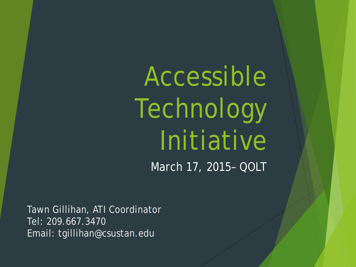Accessible Technology Initiative March 17, 2015– QOLT

Tawn Gillihan, ATI Coordinator Tel: 209.667.3470 Email: tgillihan@csustan.edu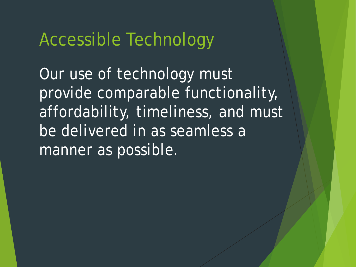### Accessible Technology

Our use of technology must provide comparable functionality, affordability, timeliness, and must be delivered in as seamless a manner as possible.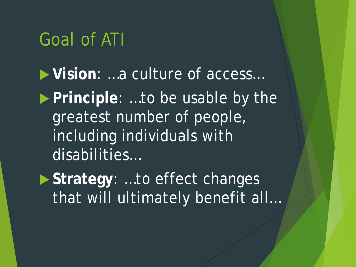## Goal of ATI

 **Vision**: …a culture of access… **Principle: ...to be usable by the** greatest number of people, including individuals with disabilities…

 **Strategy**: …to effect changes that will ultimately benefit all…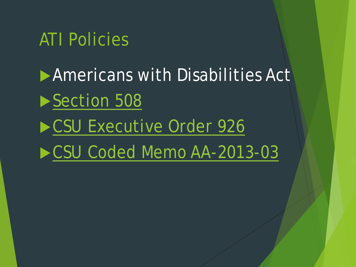### ATI Policies

**Americans with Disabilities Act** [Section 508](http://www.section508.gov/) [CSU Executive Order 926](http://www.calstate.edu/eo/EO-926.html) [CSU Coded Memo AA-2013-03](http://www.calstate.edu/AcadAff/codedmemos/AA-2013-03.pdf)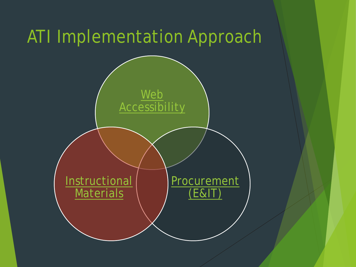# ATI Implementation Approach

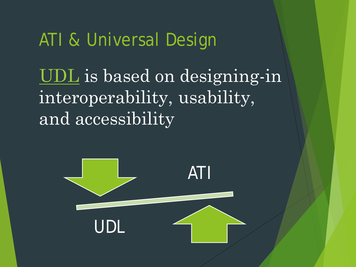## ATI & Universal Design

[UDL](http://www.washington.edu/doit/equal-access-universal-design-instruction) is based on designing-in interoperability, usability, and accessibility

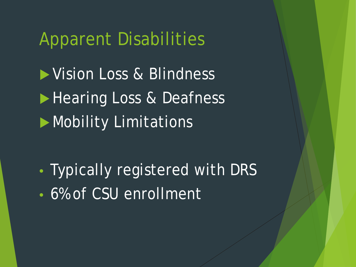## Apparent Disabilities

Vision Loss & Blindness Hearing Loss & Deafness **Mobility Limitations** 

• Typically registered with DRS • 6% of CSU enrollment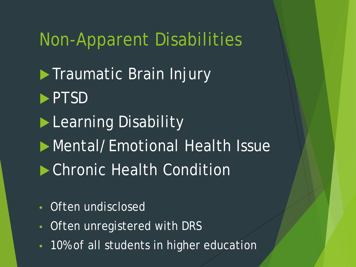### Non-Apparent Disabilities

**Traumatic Brain Injury PTSD Learning Disability Mental/Emotional Health Issue Chronic Health Condition** 

- Often undisclosed
- Often unregistered with DRS
- 10% of all students in higher education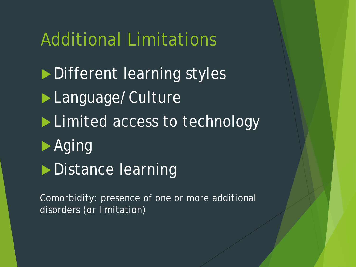### Additional Limitations

Different learning styles **Language/Culture Limited access to technology**  Aging **Distance learning** 

Comorbidity: presence of one or more additional disorders (or limitation)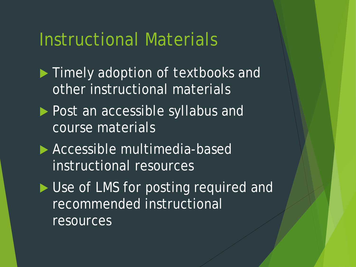### Instructional Materials

- **Timely adoption of textbooks and** other instructional materials
- **Post an accessible syllabus and** course materials
- **Accessible multimedia-based** instructional resources
- Use of LMS for posting required and recommended instructional resources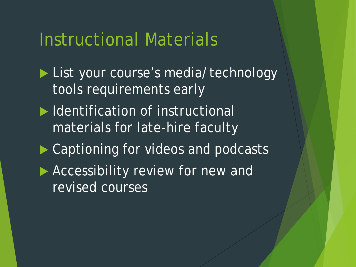### Instructional Materials

- List your course's media/technology tools requirements early
- Intertual Internal Muslim of instructional materials for late-hire faculty
- Captioning for videos and podcasts
- **Accessibility review for new and** revised courses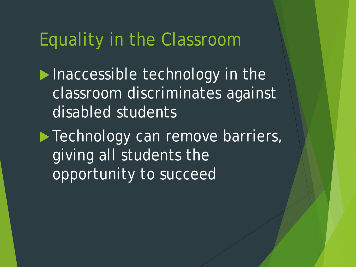### Equality in the Classroom

 $\blacktriangleright$  Inaccessible technology in the classroom discriminates against disabled students

**Technology can remove barriers,** giving all students the opportunity to succeed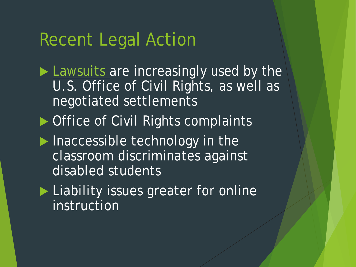### Recent Legal Action

- **[Lawsuits a](http://teachingcommons.cdl.edu/access/resources/OCRSettlementsandLawsuits.shtml)re increasingly used by the** U.S. Office of Civil Rights, as well as negotiated settlements
- ▶ Office of Civil Rights complaints
- $\blacktriangleright$  Inaccessible technology in the classroom discriminates against disabled students
- Liability issues greater for online instruction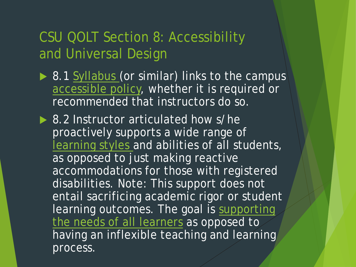#### CSU QOLT Section 8: Accessibility and Universal Design

- ▶ 8.1 [Syllabus](http://www.csuchico.edu/tlp/accessibility/syllabus/checklist.shtml) (or similar) links to the campus [accessible policy,](https://www.csustan.edu/accessible-technology-initiative/disability-related-policies-complaint-procedures) whether it is required or recommended that instructors do so.
- ▶ 8.2 Instructor articulated how s/he proactively supports a wide range of [learning styles](https://www.csustan.edu/accessible-technology-initiative/universal-design-learning) and abilities of all students, as opposed to just making reactive accommodations for those with registered disabilities. Note: This support does not entail sacrificing academic rigor or student learning outcomes. The goal is supporting the needs of all learners as opposed to having an inflexible teaching and learning process.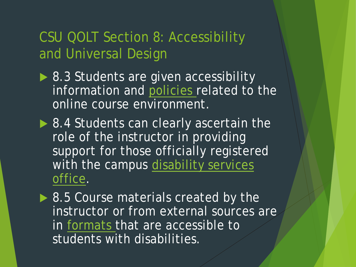#### CSU QOLT Section 8: Accessibility and Universal Design

- ▶ 8.3 Students are given accessibility information and [policies](https://www.csustan.edu/sites/default/files/OIT/LearningServices/docs/Policy%20for%20OTM%20Courses.pdf) related to the online course environment.
- ▶ 8.4 Students can clearly ascertain the role of the instructor in providing support for those officially registered [with the campus disability services](https://www.csustan.edu/disability-resource-services/documents-forms) office.
- ▶ 8.5 Course materials created by the instructor or from external sources are in [formats t](http://projectone.cannect.org/)hat are accessible to students with disabilities.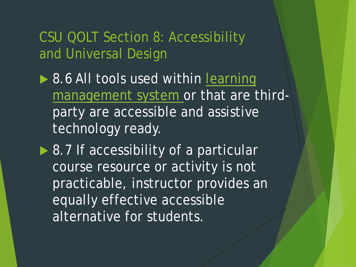CSU QOLT Section 8: Accessibility and Universal Design

- ▶ 8.6 All tools used within learning [management system or that are t](https://www.csustan.edu/faculty-blackboard-tutorials)hirdparty are accessible and assistive technology ready.
- ▶ 8.7 If accessibility of a particular course resource or activity is not practicable, instructor provides an equally effective accessible alternative for students.